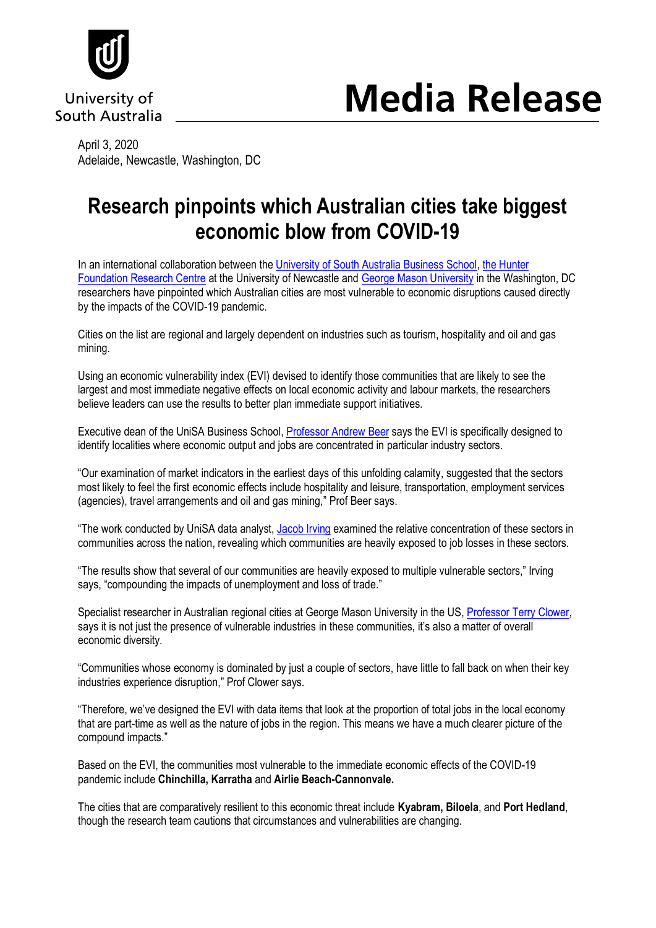

University of South Australia

# **Media Release**

April 3, 2020 Adelaide, Newcastle, Washington, DC

## **Research pinpoints which Australian cities take biggest economic blow from COVID-19**

In an international collaboration between th[e University of South Australia Business School,](https://unisa.edu.au/about-unisa/academic-units/business/) the Hunter [Foundation Research Centre](https://www.newcastle.edu.au/research-and-innovation/centre/hrfc) at the University of Newcastle and [George Mason University](https://www2.gmu.edu/) in the Washington, DC researchers have pinpointed which Australian cities are most vulnerable to economic disruptions caused directly by the impacts of the COVID-19 pandemic.

Cities on the list are regional and largely dependent on industries such as tourism, hospitality and oil and gas mining.

Using an economic vulnerability index (EVI) devised to identify those communities that are likely to see the largest and most immediate negative effects on local economic activity and labour markets, the researchers believe leaders can use the results to better plan immediate support initiatives.

Executive dean of the UniSA Business School, Professor [Andrew Beer](https://people.unisa.edu.au/Andrew.Beer) says the EVI is specifically designed to identify localities where economic output and jobs are concentrated in particular industry sectors.

"Our examination of market indicators in the earliest days of this unfolding calamity, suggested that the sectors most likely to feel the first economic effects include hospitality and leisure, transportation, employment services (agencies), travel arrangements and oil and gas mining," Prof Beer says.

"The work conducted by UniSA data analyst, [Jacob Irving](https://people.unisa.edu.au/Jacob.Irving) examined the relative concentration of these sectors in communities across the nation, revealing which communities are heavily exposed to job losses in these sectors.

"The results show that several of our communities are heavily exposed to multiple vulnerable sectors," Irving says, "compounding the impacts of unemployment and loss of trade."

Specialist researcher in Australian regional cities at George Mason University in the US, [Professor Terry Clower,](https://schar.gmu.edu/about/faculty-directory/terry-clower) says it is not just the presence of vulnerable industries in these communities, it's also a matter of overall economic diversity.

"Communities whose economy is dominated by just a couple of sectors, have little to fall back on when their key industries experience disruption," Prof Clower says.

"Therefore, we've designed the EVI with data items that look at the proportion of total jobs in the local economy that are part-time as well as the nature of jobs in the region. This means we have a much clearer picture of the compound impacts."

Based on the EVI, the communities most vulnerable to the immediate economic effects of the COVID-19 pandemic include **Chinchilla, Karratha** and **Airlie Beach-Cannonvale.**

The cities that are comparatively resilient to this economic threat include **Kyabram, Biloela**, and **Port Hedland**, though the research team cautions that circumstances and vulnerabilities are changing.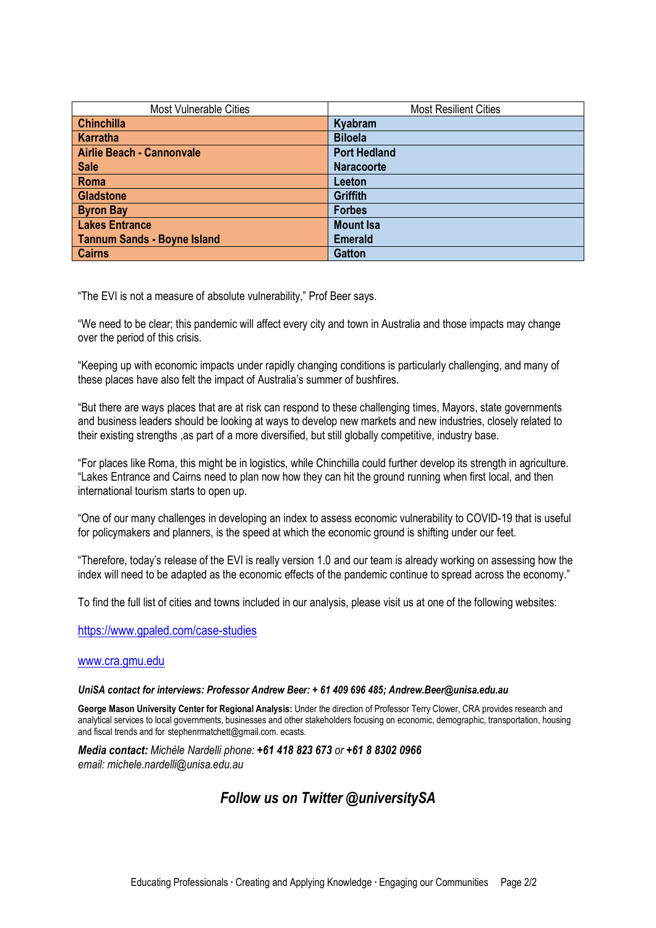| <b>Most Vulnerable Cities</b>      | <b>Most Resilient Cities</b> |
|------------------------------------|------------------------------|
| <b>Chinchilla</b>                  | Kyabram                      |
| Karratha                           | <b>Biloela</b>               |
| <b>Airlie Beach - Cannonvale</b>   | <b>Port Hedland</b>          |
| <b>Sale</b>                        | <b>Naracoorte</b>            |
| Roma                               | Leeton                       |
| <b>Gladstone</b>                   | <b>Griffith</b>              |
| <b>Byron Bay</b>                   | <b>Forbes</b>                |
| <b>Lakes Entrance</b>              | <b>Mount Isa</b>             |
| <b>Tannum Sands - Boyne Island</b> | <b>Emerald</b>               |
| <b>Cairns</b>                      | <b>Gatton</b>                |

"The EVI is not a measure of absolute vulnerability," Prof Beer says.

"We need to be clear; this pandemic will affect every city and town in Australia and those impacts may change over the period of this crisis.

"Keeping up with economic impacts under rapidly changing conditions is particularly challenging, and many of these places have also felt the impact of Australia's summer of bushfires.

"But there are ways places that are at risk can respond to these challenging times, Mayors, state governments and business leaders should be looking at ways to develop new markets and new industries, closely related to their existing strengths ,as part of a more diversified, but still globally competitive, industry base.

"For places like Roma, this might be in logistics, while Chinchilla could further develop its strength in agriculture. "Lakes Entrance and Cairns need to plan now how they can hit the ground running when first local, and then international tourism starts to open up.

"One of our many challenges in developing an index to assess economic vulnerability to COVID-19 that is useful for policymakers and planners, is the speed at which the economic ground is shifting under our feet.

"Therefore, today's release of the EVI is really version 1.0 and our team is already working on assessing how the index will need to be adapted as the economic effects of the pandemic continue to spread across the economy."

To find the full list of cities and towns included in our analysis, please visit us at one of the following websites:

<https://www.gpaled.com/case-studies>

#### [www.cra.gmu.edu](http://www.cra.gmu.edu/)

#### *UniSA contact for interviews: Professor Andrew Beer: + 61 409 696 485; Andrew.Beer@unisa.edu.au*

**George Mason University Center for Regional Analysis:** Under the direction of Professor Terry Clower, CRA provides research and analytical services to local governments, businesses and other stakeholders focusing on economic, demographic, transportation, housing and fiscal trends and for stephenrmatchett@gmail.com. ecasts.

*Media contact: Michèle Nardelli phone: +61 418 823 673 or +61 8 8302 0966 email: michele.nardelli@unisa.edu.au*

### *Follow us on Twitter @universitySA*